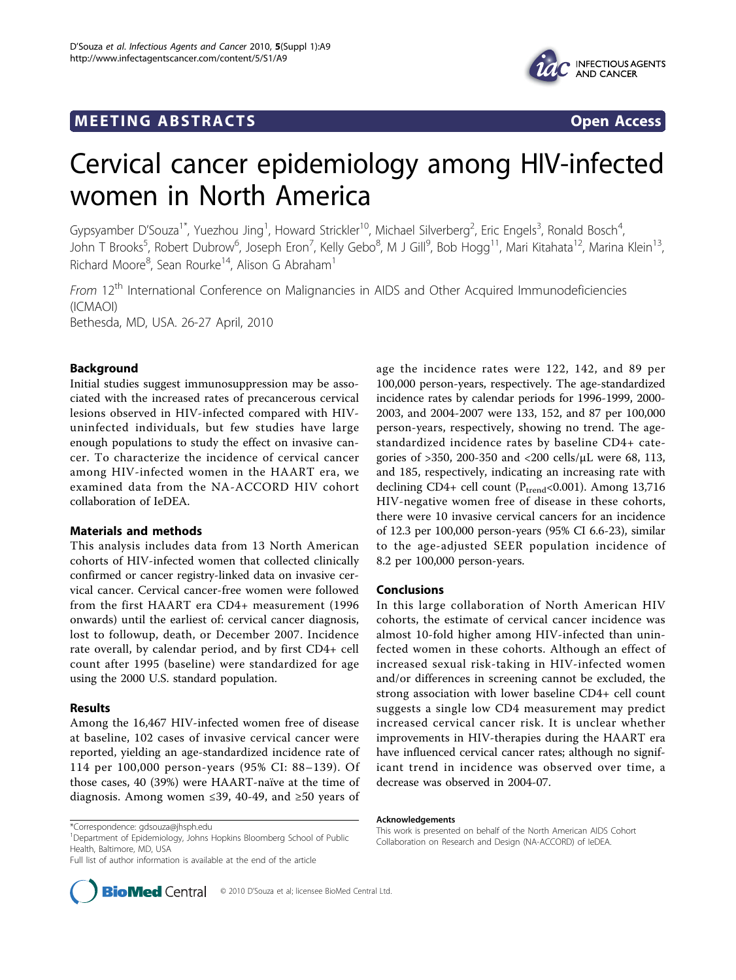# **MEETING ABSTRACTS** THE RESERVING ABSTRACT STATES OPEN ACCESS



# Cervical cancer epidemiology among HIV-infected women in North America

Gypsyamber D'Souza<sup>1\*</sup>, Yuezhou Jing<sup>1</sup>, Howard Strickler<sup>10</sup>, Michael Silverberg<sup>2</sup>, Eric Engels<sup>3</sup>, Ronald Bosch<sup>4</sup> , John T Brooks<sup>5</sup>, Robert Dubrow<sup>6</sup>, Joseph Eron<sup>7</sup>, Kelly Gebo<sup>8</sup>, M J Gill<sup>9</sup>, Bob Hogg<sup>11</sup>, Mari Kitahata<sup>12</sup>, Marina Klein<sup>13</sup>, Richard Moore<sup>8</sup>, Sean Rourke<sup>14</sup>, Alison G Abraham<sup>1</sup>

From 12<sup>th</sup> International Conference on Malignancies in AIDS and Other Acquired Immunodeficiencies (ICMAOI) Bethesda, MD, USA. 26-27 April, 2010

## Background

Initial studies suggest immunosuppression may be associated with the increased rates of precancerous cervical lesions observed in HIV-infected compared with HIVuninfected individuals, but few studies have large enough populations to study the effect on invasive cancer. To characterize the incidence of cervical cancer among HIV-infected women in the HAART era, we examined data from the NA-ACCORD HIV cohort collaboration of IeDEA.

### Materials and methods

This analysis includes data from 13 North American cohorts of HIV-infected women that collected clinically confirmed or cancer registry-linked data on invasive cervical cancer. Cervical cancer-free women were followed from the first HAART era CD4+ measurement (1996 onwards) until the earliest of: cervical cancer diagnosis, lost to followup, death, or December 2007. Incidence rate overall, by calendar period, and by first CD4+ cell count after 1995 (baseline) were standardized for age using the 2000 U.S. standard population.

#### Results

Among the 16,467 HIV-infected women free of disease at baseline, 102 cases of invasive cervical cancer were reported, yielding an age-standardized incidence rate of 114 per 100,000 person-years (95% CI: 88–139). Of those cases, 40 (39%) were HAART-naïve at the time of diagnosis. Among women ≤39, 40-49, and ≥50 years of

<sup>1</sup>Department of Epidemiology, Johns Hopkins Bloomberg School of Public Health, Baltimore, MD, USA

Full list of author information is available at the end of the article



age the incidence rates were 122, 142, and 89 per 100,000 person-years, respectively. The age-standardized incidence rates by calendar periods for 1996-1999, 2000- 2003, and 2004-2007 were 133, 152, and 87 per 100,000 person-years, respectively, showing no trend. The agestandardized incidence rates by baseline CD4+ categories of >350, 200-350 and <200 cells/μL were 68, 113, and 185, respectively, indicating an increasing rate with declining CD4+ cell count ( $P_{trend}$ <0.001). Among 13,716 HIV-negative women free of disease in these cohorts, there were 10 invasive cervical cancers for an incidence of 12.3 per 100,000 person-years (95% CI 6.6-23), similar to the age-adjusted SEER population incidence of 8.2 per 100,000 person-years.

#### Conclusions

In this large collaboration of North American HIV cohorts, the estimate of cervical cancer incidence was almost 10-fold higher among HIV-infected than uninfected women in these cohorts. Although an effect of increased sexual risk-taking in HIV-infected women and/or differences in screening cannot be excluded, the strong association with lower baseline CD4+ cell count suggests a single low CD4 measurement may predict increased cervical cancer risk. It is unclear whether improvements in HIV-therapies during the HAART era have influenced cervical cancer rates; although no significant trend in incidence was observed over time, a decrease was observed in 2004-07.

#### Acknowledgements

This work is presented on behalf of the North American AIDS Cohort Collaboration on Research and Design (NA-ACCORD) of IeDEA.

<sup>\*</sup>Correspondence: [gdsouza@jhsph.edu](mailto:gdsouza@jhsph.edu)